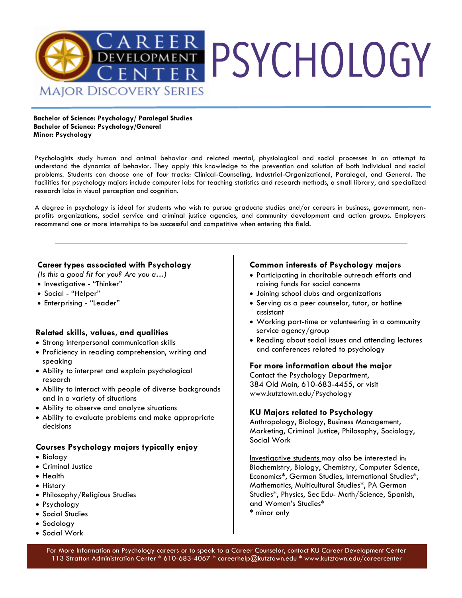

**Bachelor of Science: Psychology/ Paralegal Studies Bachelor of Science: Psychology/General Minor: Psychology** 

Psychologists study human and animal behavior and related mental, physiological and social processes in an attempt to understand the dynamics of behavior. They apply this knowledge to the prevention and solution of both individual and social problems. Students can choose one of four tracks: Clinical-Counseling, Industrial-Organizational, Paralegal, and General. The facilities for psychology majors include computer labs for teaching statistics and research methods, a small library, and specialized research labs in visual perception and cognition.

A degree in psychology is ideal for students who wish to pursue graduate studies and/or careers in business, government, nonprofits organizations, social service and criminal justice agencies, and community development and action groups. Employers recommend one or more internships to be successful and competitive when entering this field.

#### **Career types associated with Psychology**

*(Is this a good fit for you? Are you a…)*

- Investigative "Thinker"
- Social "Helper"
- Enterprising "Leader"

### **Related skills, values, and qualities**

- Strong interpersonal communication skills
- Proficiency in reading comprehension, writing and speaking
- Ability to interpret and explain psychological research
- Ability to interact with people of diverse backgrounds and in a variety of situations
- Ability to observe and analyze situations
- Ability to evaluate problems and make appropriate decisions

### **Courses Psychology majors typically enjoy**

- Biology
- Criminal Justice
- Health
- History
- Philosophy/Religious Studies
- Psychology
- Social Studies
- Sociology
- Social Work

### **Common interests of Psychology majors**

- Participating in charitable outreach efforts and raising funds for social concerns
- Joining school clubs and organizations
- Serving as a peer counselor, tutor, or hotline assistant
- Working part-time or volunteering in a community service agency/group
- Reading about social issues and attending lectures and conferences related to psychology

#### **For more information about the major**

Contact the Psychology Department, 384 Old Main, 610-683-4455, or visit www.kutztown.edu/Psychology

### **KU Majors related to Psychology**

Anthropology, Biology, Business Management, Marketing, Criminal Justice, Philosophy, Sociology, Social Work

Investigative students may also be interested in: Biochemistry, Biology, Chemistry, Computer Science, Economics\*, German Studies, International Studies\*, Mathematics, Multicultural Studies\*, PA German Studies\*, Physics, Sec Edu- Math/Science, Spanish, and Women's Studies\* \* minor only

For More Information on Psychology careers or to speak to a Career Counselor, contact KU Career Development Center 113 Stratton Administration Center \* 610-683-4067 \* careerhelp@kutztown.edu \* www.kutztown.edu/careercenter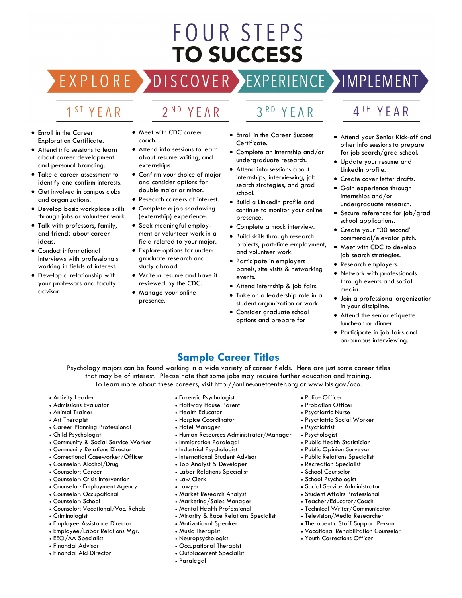# FOUR STEPS **TO SUCCESS**

## DISCOVER EXPERIENCE MOPLEMENT

2<sup>ND</sup> YEAR

### 1<sup>ST</sup> YEAR

EXPLORE >

- Enroll in the Career Exploration Certificate.
- Attend info sessions to learn about career development and personal branding.
- Take a career assessment to identify and confirm interests.
- Get involved in campus clubs and organizations.
- Develop basic workplace skills through jobs or volunteer work.
- Talk with professors, family, and friends about career ideas.
- Conduct informational interviews with professionals working in fields of interest.
- Develop a relationship with your professors and faculty advisor.
- Meet with CDC career coach.
- Attend info sessions to learn about resume writing, and externships.
- Confirm your choice of major and consider options for double major or minor.
- Research careers of interest.
- Complete a job shadowing (externship) experience.
- Seek meaningful employment or volunteer work in a field related to your major.
- Explore options for undergraduate research and study abroad.
- Write a resume and have it reviewed by the CDC.
- Manage your online presence.

### 3RD YEAR

- Enroll in the Career Success Certificate.
- Complete an internship and/or undergraduate research.
- Attend info sessions about internships, interviewing, job search strategies, and grad school.
- Build a LinkedIn profile and continue to monitor your online presence.
- Complete a mock interview.
- Build skills through research projects, part-time employment, and volunteer work.
- Participate in employers panels, site visits & networking events.
- Attend internship & job fairs.
- Take on a leadership role in a student organization or work.
- Consider graduate school options and prepare for

### 4TH YEAR

- Attend your Senior Kick-off and other info sessions to prepare for job search/grad school.
- Update your resume and LinkedIn profile.
- Create cover letter drafts.
- Gain experience through internships and/or undergraduate research.
- Secure references for job/grad school applications.
- Create your "30 second" commercial/elevator pitch.
- Meet with CDC to develop job search strategies.
- Research employers.
- Network with professionals through events and social media.
- Join a professional organization in your discipline.
- Attend the senior etiquette luncheon or dinner.
- Participate in job fairs and on-campus interviewing.

### **Sample Career Titles**

Psychology majors can be found working in a wide variety of career fields. Here are just some career titles that may be of interest. Please note that some jobs may require further education and training. To learn more about these careers, visit http://online.onetcenter.org or www.bls.gov/oco.

• Human Resources Administrator/Manager

- Activity Leader
- Admissions Evaluator
- Animal Trainer
- Art Therapist
- Career Planning Professional
- Child Psychologist
- Community & Social Service Worker
- Community Relations Director
- Correctional Caseworker/Officer
- Counselor: Alcohol/Drug
- Counselor: Career
- Counselor: Crisis Intervention
- Counselor: Employment Agency
- Counselor: Occupational
- Counselor: School
- Counselor: Vocational/Voc. Rehab
- Criminologist
- Employee Assistance Director
- Employee/Labor Relations Mgr. • EEO/AA Specialist
- Financial Advisor
- Financial Aid Director
- Job Analyst & Developer
	- Labor Relations Specialist • Law Clerk

• Immigration Paralegal • Industrial Psychologist • International Student Advisor

• Forensic Psychologist • Halfway House Parent • Health Educator • Hospice Coordinator • Hotel Manager

- Lawyer
- Market Research Analyst
- Marketing/Sales Manager
- Mental Health Professional
- Minority & Race Relations Specialist
- Motivational Speaker
- Music Therapist
- Neuropsychologist
- Occupational Therapist
- Outplacement Specialist
- Paralegal
- 
- Police Officer
- Probation Officer
- Psychiatric Nurse
- Psychiatric Social Worker
- Psychiatrist
- Psychologist
- Public Health Statistician
- Public Opinion Surveyor
- Public Relations Specialist
- Recreation Specialist
- School Counselor
- School Psychologist
- Social Service Administrator • Student Affairs Professional
- Teacher/Educator/Coach
- Technical Writer/Communicator
- Television/Media Researcher
- Therapeutic Staff Support Person
- Vocational Rehabilitation Counselor
- Youth Corrections Officer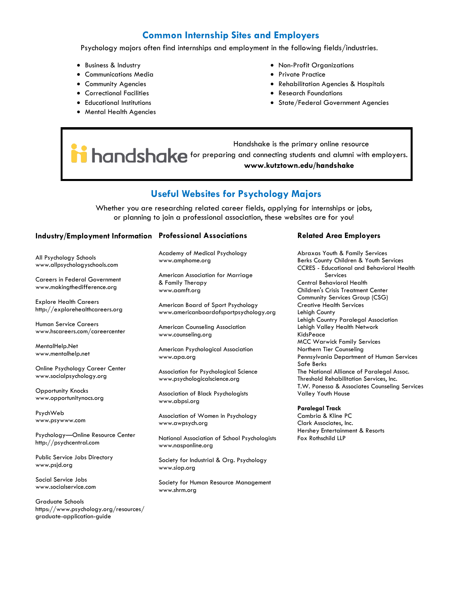### **Common Internship Sites and Employers**

Psychology majors often find internships and employment in the following fields/industries.

- Business & Industry
- Communications Media
- Community Agencies
- Correctional Facilities
- Educational Institutions
- Mental Health Agencies
- Non-Profit Organizations
- Private Practice
- Rehabilitation Agencies & Hospitals
- Research Foundations
- State/Federal Government Agencies

 Handshake is the primary online resource **i** handshake for preparing and connecting students and alumni with employers. **www.kutztown.edu/handshake**

### **Useful Websites for Psychology Majors**

Whether you are researching related career fields, applying for internships or jobs, or planning to join a professional association, these websites are for you!

#### **Industry/Employment Information Professional Associations**

All Psychology Schools www.allpsychologyschools.com

Careers in Federal Government www.makingthedifference.org

Explore Health Careers http://explorehealthcareers.org

Human Service Careers www.hscareers.com/careercenter

MentalHelp.Net www.mentalhelp.net

Online Psychology Career Center www.socialpsychology.org

Opportunity Knocks www.opportunitynocs.org

PsychWeb www.psywww.com

Psychology—Online Resource Center http://psychcentral.com

Public Service Jobs Directory www.psjd.org

Social Service Jobs www.socialservice.com

Graduate Schools https://www.psychology.org/resources/ graduate-application-guide

Academy of Medical Psychology www.amphome.org

American Association for Marriage & Family Therapy www.aamft.org

American Board of Sport Psychology www.americanboardofsportpsychology.org

American Counseling Association www.counseling.org

American Psychological Association www.apa.org

Association for Psychological Science www.psychologicalscience.org

Association of Black Psychologists www.abpsi.org

Association of Women in Psychology www.awpsych.org

National Association of School Psychologists www.nasponline.org

Society for Industrial & Org. Psychology www.siop.org

Society for Human Resource Management www.shrm.org

#### **Related Area Employers**

Abraxas Youth & Family Services Berks County Children & Youth Services CCRES - Educational and Behavioral Health Services Central Behavioral Health Children's Crisis Treatment Center Community Services Group (CSG) Creative Health Services Lehigh County Lehigh Country Paralegal Association Lehigh Valley Health Network KidsPeace MCC Warwick Family Services Northern Tier Counseling Pennsylvania Department of Human Services Safe Berks The National Alliance of Paralegal Assoc. Threshold Rehabilitation Services, Inc. T.W. Ponessa & Associates Counseling Services Valley Youth House

#### **Paralegal Track**

Cambria & Kline PC Clark Associates, Inc. Hershey Entertainment & Resorts Fox Rothschild LLP